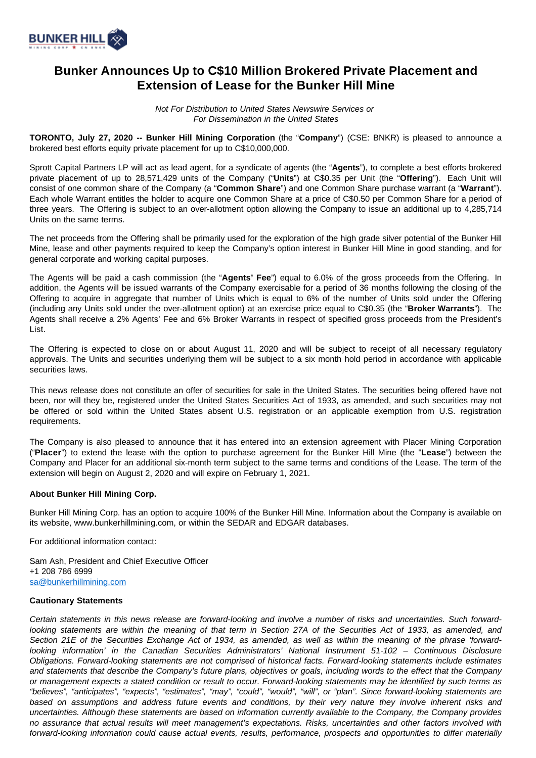

## **Bunker Announces Up to C\$10 Million Brokered Private Placement and Extension of Lease for the Bunker Hill Mine**

Not For Distribution to United States Newswire Services or For Dissemination in the United States

**TORONTO, July 27, 2020 -- Bunker Hill Mining Corporation** (the "**Company**") (CSE: BNKR) is pleased to announce a brokered best efforts equity private placement for up to C\$10,000,000.

Sprott Capital Partners LP will act as lead agent, for a syndicate of agents (the "**Agents**"), to complete a best efforts brokered private placement of up to 28,571,429 units of the Company ("**Units**") at C\$0.35 per Unit (the "**Offering**"). Each Unit will consist of one common share of the Company (a "**Common Share**") and one Common Share purchase warrant (a "**Warrant**"). Each whole Warrant entitles the holder to acquire one Common Share at a price of C\$0.50 per Common Share for a period of three years. The Offering is subject to an over-allotment option allowing the Company to issue an additional up to 4,285,714 Units on the same terms.

The net proceeds from the Offering shall be primarily used for the exploration of the high grade silver potential of the Bunker Hill Mine, lease and other payments required to keep the Company's option interest in Bunker Hill Mine in good standing, and for general corporate and working capital purposes.

The Agents will be paid a cash commission (the "**Agents' Fee**") equal to 6.0% of the gross proceeds from the Offering. In addition, the Agents will be issued warrants of the Company exercisable for a period of 36 months following the closing of the Offering to acquire in aggregate that number of Units which is equal to 6% of the number of Units sold under the Offering (including any Units sold under the over-allotment option) at an exercise price equal to C\$0.35 (the "**Broker Warrants**"). The Agents shall receive a 2% Agents' Fee and 6% Broker Warrants in respect of specified gross proceeds from the President's List.

The Offering is expected to close on or about August 11, 2020 and will be subject to receipt of all necessary regulatory approvals. The Units and securities underlying them will be subject to a six month hold period in accordance with applicable securities laws.

This news release does not constitute an offer of securities for sale in the United States. The securities being offered have not been, nor will they be, registered under the United States Securities Act of 1933, as amended, and such securities may not be offered or sold within the United States absent U.S. registration or an applicable exemption from U.S. registration requirements.

The Company is also pleased to announce that it has entered into an extension agreement with Placer Mining Corporation ("**Placer**") to extend the lease with the option to purchase agreement for the Bunker Hill Mine (the "**Lease**") between the Company and Placer for an additional six-month term subject to the same terms and conditions of the Lease. The term of the extension will begin on August 2, 2020 and will expire on February 1, 2021.

## **About Bunker Hill Mining Corp.**

Bunker Hill Mining Corp. has an option to acquire 100% of the Bunker Hill Mine. Information about the Company is available on its website, www.bunkerhillmining.com, or within the SEDAR and EDGAR databases.

For additional information contact:

Sam Ash, President and Chief Executive Officer +1 208 786 6999 [sa@bunkerhillmining.com](mailto:sa@bunkerhillmining.com)

## **Cautionary Statements**

Certain statements in this news release are forward-looking and involve a number of risks and uncertainties. Such forwardlooking statements are within the meaning of that term in Section 27A of the Securities Act of 1933, as amended, and Section 21E of the Securities Exchange Act of 1934, as amended, as well as within the meaning of the phrase 'forwardlooking information' in the Canadian Securities Administrators' National Instrument 51-102 – Continuous Disclosure Obligations. Forward-looking statements are not comprised of historical facts. Forward-looking statements include estimates and statements that describe the Company's future plans, objectives or goals, including words to the effect that the Company or management expects a stated condition or result to occur. Forward-looking statements may be identified by such terms as "believes", "anticipates", "expects", "estimates", "may", "could", "would", "will", or "plan". Since forward-looking statements are based on assumptions and address future events and conditions, by their very nature they involve inherent risks and uncertainties. Although these statements are based on information currently available to the Company, the Company provides no assurance that actual results will meet management's expectations. Risks, uncertainties and other factors involved with forward-looking information could cause actual events, results, performance, prospects and opportunities to differ materially